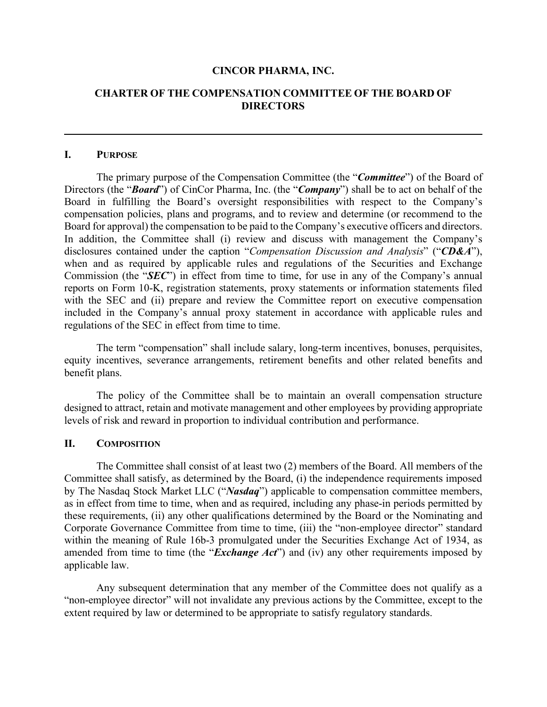#### **CINCOR PHARMA, INC.**

### **CHARTER OF THE COMPENSATION COMMITTEE OF THE BOARD OF DIRECTORS**

#### **I. PURPOSE**

The primary purpose of the Compensation Committee (the "*Committee*") of the Board of Directors (the "*Board*") of CinCor Pharma, Inc. (the "*Company*") shall be to act on behalf of the Board in fulfilling the Board's oversight responsibilities with respect to the Company's compensation policies, plans and programs, and to review and determine (or recommend to the Board for approval) the compensation to be paid to the Company's executive officers and directors. In addition, the Committee shall (i) review and discuss with management the Company's disclosures contained under the caption "*Compensation Discussion and Analysis*" ("*CD&A*"), when and as required by applicable rules and regulations of the Securities and Exchange Commission (the "*SEC*") in effect from time to time, for use in any of the Company's annual reports on Form 10-K, registration statements, proxy statements or information statements filed with the SEC and (ii) prepare and review the Committee report on executive compensation included in the Company's annual proxy statement in accordance with applicable rules and regulations of the SEC in effect from time to time.

The term "compensation" shall include salary, long-term incentives, bonuses, perquisites, equity incentives, severance arrangements, retirement benefits and other related benefits and benefit plans.

The policy of the Committee shall be to maintain an overall compensation structure designed to attract, retain and motivate management and other employees by providing appropriate levels of risk and reward in proportion to individual contribution and performance.

### **II. COMPOSITION**

The Committee shall consist of at least two (2) members of the Board. All members of the Committee shall satisfy, as determined by the Board, (i) the independence requirements imposed by The Nasdaq Stock Market LLC ("*Nasdaq*") applicable to compensation committee members, as in effect from time to time, when and as required, including any phase-in periods permitted by these requirements, (ii) any other qualifications determined by the Board or the Nominating and Corporate Governance Committee from time to time, (iii) the "non-employee director" standard within the meaning of Rule 16b-3 promulgated under the Securities Exchange Act of 1934, as amended from time to time (the "*Exchange Act*") and (iv) any other requirements imposed by applicable law.

Any subsequent determination that any member of the Committee does not qualify as a "non-employee director" will not invalidate any previous actions by the Committee, except to the extent required by law or determined to be appropriate to satisfy regulatory standards.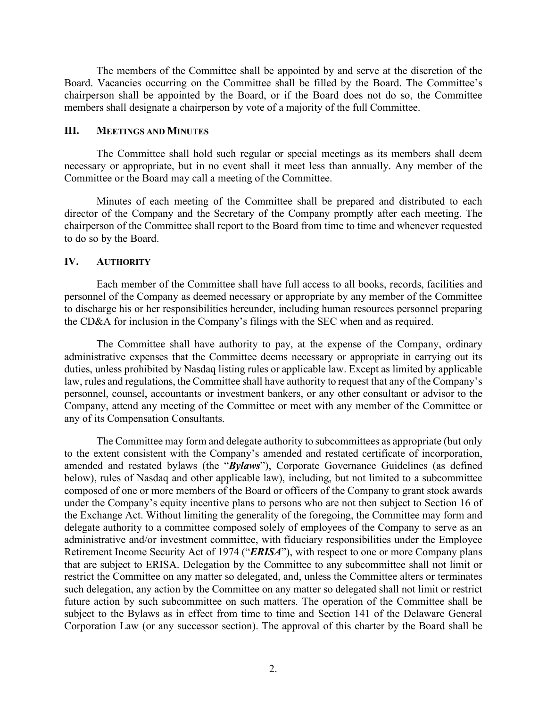The members of the Committee shall be appointed by and serve at the discretion of the Board. Vacancies occurring on the Committee shall be filled by the Board. The Committee's chairperson shall be appointed by the Board, or if the Board does not do so, the Committee members shall designate a chairperson by vote of a majority of the full Committee.

#### **III. MEETINGS AND MINUTES**

The Committee shall hold such regular or special meetings as its members shall deem necessary or appropriate, but in no event shall it meet less than annually. Any member of the Committee or the Board may call a meeting of the Committee.

Minutes of each meeting of the Committee shall be prepared and distributed to each director of the Company and the Secretary of the Company promptly after each meeting. The chairperson of the Committee shall report to the Board from time to time and whenever requested to do so by the Board.

#### **IV. AUTHORITY**

Each member of the Committee shall have full access to all books, records, facilities and personnel of the Company as deemed necessary or appropriate by any member of the Committee to discharge his or her responsibilities hereunder, including human resources personnel preparing the CD&A for inclusion in the Company's filings with the SEC when and as required.

The Committee shall have authority to pay, at the expense of the Company, ordinary administrative expenses that the Committee deems necessary or appropriate in carrying out its duties, unless prohibited by Nasdaq listing rules or applicable law. Except as limited by applicable law, rules and regulations, the Committee shall have authority to request that any of the Company's personnel, counsel, accountants or investment bankers, or any other consultant or advisor to the Company, attend any meeting of the Committee or meet with any member of the Committee or any of its Compensation Consultants.

The Committee may form and delegate authority to subcommittees as appropriate (but only to the extent consistent with the Company's amended and restated certificate of incorporation, amended and restated bylaws (the "*Bylaws*"), Corporate Governance Guidelines (as defined below), rules of Nasdaq and other applicable law), including, but not limited to a subcommittee composed of one or more members of the Board or officers of the Company to grant stock awards under the Company's equity incentive plans to persons who are not then subject to Section 16 of the Exchange Act. Without limiting the generality of the foregoing, the Committee may form and delegate authority to a committee composed solely of employees of the Company to serve as an administrative and/or investment committee, with fiduciary responsibilities under the Employee Retirement Income Security Act of 1974 ("*ERISA*"), with respect to one or more Company plans that are subject to ERISA. Delegation by the Committee to any subcommittee shall not limit or restrict the Committee on any matter so delegated, and, unless the Committee alters or terminates such delegation, any action by the Committee on any matter so delegated shall not limit or restrict future action by such subcommittee on such matters. The operation of the Committee shall be subject to the Bylaws as in effect from time to time and Section 141 of the Delaware General Corporation Law (or any successor section). The approval of this charter by the Board shall be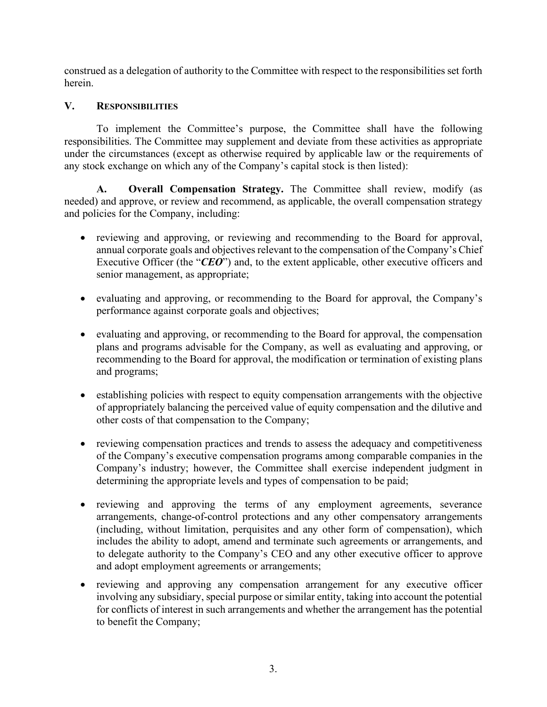construed as a delegation of authority to the Committee with respect to the responsibilities set forth herein.

## **V. RESPONSIBILITIES**

To implement the Committee's purpose, the Committee shall have the following responsibilities. The Committee may supplement and deviate from these activities as appropriate under the circumstances (except as otherwise required by applicable law or the requirements of any stock exchange on which any of the Company's capital stock is then listed):

**A. Overall Compensation Strategy.** The Committee shall review, modify (as needed) and approve, or review and recommend, as applicable, the overall compensation strategy and policies for the Company, including:

- reviewing and approving, or reviewing and recommending to the Board for approval, annual corporate goals and objectives relevant to the compensation of the Company's Chief Executive Officer (the "*CEO*") and, to the extent applicable, other executive officers and senior management, as appropriate;
- evaluating and approving, or recommending to the Board for approval, the Company's performance against corporate goals and objectives;
- evaluating and approving, or recommending to the Board for approval, the compensation plans and programs advisable for the Company, as well as evaluating and approving, or recommending to the Board for approval, the modification or termination of existing plans and programs;
- establishing policies with respect to equity compensation arrangements with the objective of appropriately balancing the perceived value of equity compensation and the dilutive and other costs of that compensation to the Company;
- reviewing compensation practices and trends to assess the adequacy and competitiveness of the Company's executive compensation programs among comparable companies in the Company's industry; however, the Committee shall exercise independent judgment in determining the appropriate levels and types of compensation to be paid;
- reviewing and approving the terms of any employment agreements, severance arrangements, change-of-control protections and any other compensatory arrangements (including, without limitation, perquisites and any other form of compensation), which includes the ability to adopt, amend and terminate such agreements or arrangements, and to delegate authority to the Company's CEO and any other executive officer to approve and adopt employment agreements or arrangements;
- reviewing and approving any compensation arrangement for any executive officer involving any subsidiary, special purpose or similar entity, taking into account the potential for conflicts of interest in such arrangements and whether the arrangement has the potential to benefit the Company;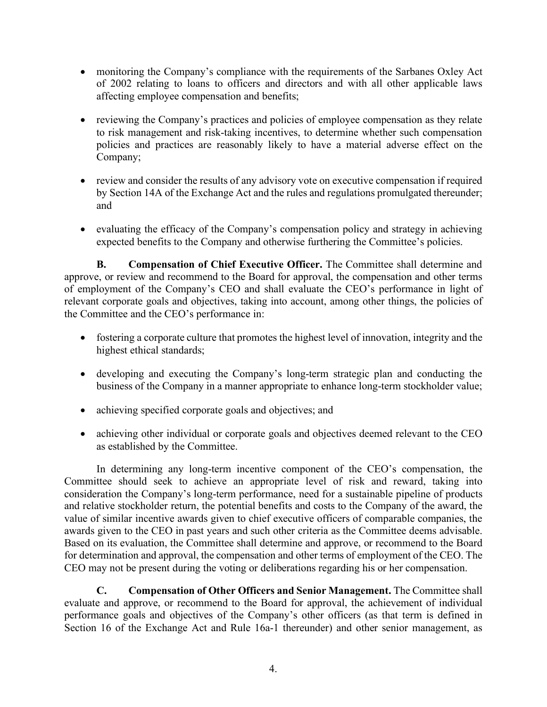- monitoring the Company's compliance with the requirements of the Sarbanes Oxley Act of 2002 relating to loans to officers and directors and with all other applicable laws affecting employee compensation and benefits;
- reviewing the Company's practices and policies of employee compensation as they relate to risk management and risk-taking incentives, to determine whether such compensation policies and practices are reasonably likely to have a material adverse effect on the Company;
- review and consider the results of any advisory vote on executive compensation if required by Section 14A of the Exchange Act and the rules and regulations promulgated thereunder; and
- evaluating the efficacy of the Company's compensation policy and strategy in achieving expected benefits to the Company and otherwise furthering the Committee's policies.

**B. Compensation of Chief Executive Officer.** The Committee shall determine and approve, or review and recommend to the Board for approval, the compensation and other terms of employment of the Company's CEO and shall evaluate the CEO's performance in light of relevant corporate goals and objectives, taking into account, among other things, the policies of the Committee and the CEO's performance in:

- fostering a corporate culture that promotes the highest level of innovation, integrity and the highest ethical standards;
- developing and executing the Company's long-term strategic plan and conducting the business of the Company in a manner appropriate to enhance long-term stockholder value;
- achieving specified corporate goals and objectives; and
- achieving other individual or corporate goals and objectives deemed relevant to the CEO as established by the Committee.

In determining any long-term incentive component of the CEO's compensation, the Committee should seek to achieve an appropriate level of risk and reward, taking into consideration the Company's long-term performance, need for a sustainable pipeline of products and relative stockholder return, the potential benefits and costs to the Company of the award, the value of similar incentive awards given to chief executive officers of comparable companies, the awards given to the CEO in past years and such other criteria as the Committee deems advisable. Based on its evaluation, the Committee shall determine and approve, or recommend to the Board for determination and approval, the compensation and other terms of employment of the CEO. The CEO may not be present during the voting or deliberations regarding his or her compensation.

**C. Compensation of Other Officers and Senior Management.** The Committee shall evaluate and approve, or recommend to the Board for approval, the achievement of individual performance goals and objectives of the Company's other officers (as that term is defined in Section 16 of the Exchange Act and Rule 16a-1 thereunder) and other senior management, as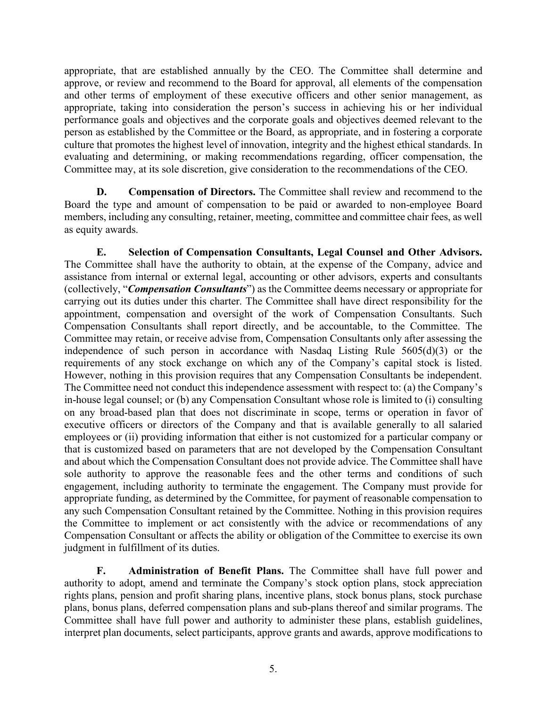appropriate, that are established annually by the CEO. The Committee shall determine and approve, or review and recommend to the Board for approval, all elements of the compensation and other terms of employment of these executive officers and other senior management, as appropriate, taking into consideration the person's success in achieving his or her individual performance goals and objectives and the corporate goals and objectives deemed relevant to the person as established by the Committee or the Board, as appropriate, and in fostering a corporate culture that promotes the highest level of innovation, integrity and the highest ethical standards. In evaluating and determining, or making recommendations regarding, officer compensation, the Committee may, at its sole discretion, give consideration to the recommendations of the CEO.

**D. Compensation of Directors.** The Committee shall review and recommend to the Board the type and amount of compensation to be paid or awarded to non-employee Board members, including any consulting, retainer, meeting, committee and committee chair fees, as well as equity awards.

**E. Selection of Compensation Consultants, Legal Counsel and Other Advisors.** The Committee shall have the authority to obtain, at the expense of the Company, advice and assistance from internal or external legal, accounting or other advisors, experts and consultants (collectively, "*Compensation Consultants*") as the Committee deems necessary or appropriate for carrying out its duties under this charter. The Committee shall have direct responsibility for the appointment, compensation and oversight of the work of Compensation Consultants. Such Compensation Consultants shall report directly, and be accountable, to the Committee. The Committee may retain, or receive advise from, Compensation Consultants only after assessing the independence of such person in accordance with Nasdaq Listing Rule 5605(d)(3) or the requirements of any stock exchange on which any of the Company's capital stock is listed. However, nothing in this provision requires that any Compensation Consultants be independent. The Committee need not conduct this independence assessment with respect to: (a) the Company's in-house legal counsel; or (b) any Compensation Consultant whose role is limited to (i) consulting on any broad-based plan that does not discriminate in scope, terms or operation in favor of executive officers or directors of the Company and that is available generally to all salaried employees or (ii) providing information that either is not customized for a particular company or that is customized based on parameters that are not developed by the Compensation Consultant and about which the Compensation Consultant does not provide advice. The Committee shall have sole authority to approve the reasonable fees and the other terms and conditions of such engagement, including authority to terminate the engagement. The Company must provide for appropriate funding, as determined by the Committee, for payment of reasonable compensation to any such Compensation Consultant retained by the Committee. Nothing in this provision requires the Committee to implement or act consistently with the advice or recommendations of any Compensation Consultant or affects the ability or obligation of the Committee to exercise its own judgment in fulfillment of its duties.

**F. Administration of Benefit Plans.** The Committee shall have full power and authority to adopt, amend and terminate the Company's stock option plans, stock appreciation rights plans, pension and profit sharing plans, incentive plans, stock bonus plans, stock purchase plans, bonus plans, deferred compensation plans and sub-plans thereof and similar programs. The Committee shall have full power and authority to administer these plans, establish guidelines, interpret plan documents, select participants, approve grants and awards, approve modifications to